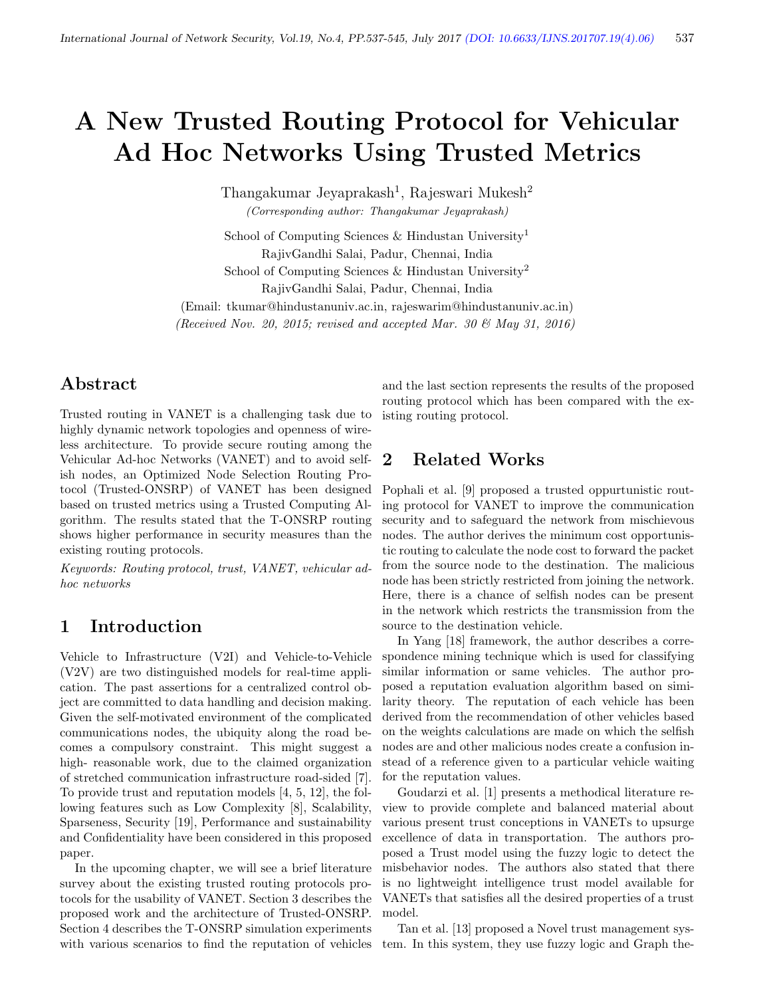# A New Trusted Routing Protocol for Vehicular Ad Hoc Networks Using Trusted Metrics

Thangakumar Jeyaprakash<sup>1</sup>, Rajeswari Mukesh<sup>2</sup> (Corresponding author: Thangakumar Jeyaprakash)

School of Computing Sciences & Hindustan University<sup>1</sup> RajivGandhi Salai, Padur, Chennai, India School of Computing Sciences & Hindustan University<sup>2</sup> RajivGandhi Salai, Padur, Chennai, India

(Email: tkumar@hindustanuniv.ac.in, rajeswarim@hindustanuniv.ac.in)

(Received Nov. 20, 2015; revised and accepted Mar. 30 & May 31, 2016)

# Abstract

Trusted routing in VANET is a challenging task due to highly dynamic network topologies and openness of wireless architecture. To provide secure routing among the Vehicular Ad-hoc Networks (VANET) and to avoid selfish nodes, an Optimized Node Selection Routing Protocol (Trusted-ONSRP) of VANET has been designed based on trusted metrics using a Trusted Computing Algorithm. The results stated that the T-ONSRP routing shows higher performance in security measures than the existing routing protocols.

Keywords: Routing protocol, trust, VANET, vehicular adhoc networks

# 1 Introduction

Vehicle to Infrastructure (V2I) and Vehicle-to-Vehicle (V2V) are two distinguished models for real-time application. The past assertions for a centralized control object are committed to data handling and decision making. Given the self-motivated environment of the complicated communications nodes, the ubiquity along the road becomes a compulsory constraint. This might suggest a high- reasonable work, due to the claimed organization of stretched communication infrastructure road-sided [7]. To provide trust and reputation models [4, 5, 12], the following features such as Low Complexity [8], Scalability, Sparseness, Security [19], Performance and sustainability and Confidentiality have been considered in this proposed paper.

In the upcoming chapter, we will see a brief literature survey about the existing trusted routing protocols protocols for the usability of VANET. Section 3 describes the proposed work and the architecture of Trusted-ONSRP. Section 4 describes the T-ONSRP simulation experiments with various scenarios to find the reputation of vehicles

and the last section represents the results of the proposed routing protocol which has been compared with the existing routing protocol.

# 2 Related Works

Pophali et al. [9] proposed a trusted oppurtunistic routing protocol for VANET to improve the communication security and to safeguard the network from mischievous nodes. The author derives the minimum cost opportunistic routing to calculate the node cost to forward the packet from the source node to the destination. The malicious node has been strictly restricted from joining the network. Here, there is a chance of selfish nodes can be present in the network which restricts the transmission from the source to the destination vehicle.

In Yang [18] framework, the author describes a correspondence mining technique which is used for classifying similar information or same vehicles. The author proposed a reputation evaluation algorithm based on similarity theory. The reputation of each vehicle has been derived from the recommendation of other vehicles based on the weights calculations are made on which the selfish nodes are and other malicious nodes create a confusion instead of a reference given to a particular vehicle waiting for the reputation values.

Goudarzi et al. [1] presents a methodical literature review to provide complete and balanced material about various present trust conceptions in VANETs to upsurge excellence of data in transportation. The authors proposed a Trust model using the fuzzy logic to detect the misbehavior nodes. The authors also stated that there is no lightweight intelligence trust model available for VANETs that satisfies all the desired properties of a trust model.

Tan et al. [13] proposed a Novel trust management system. In this system, they use fuzzy logic and Graph the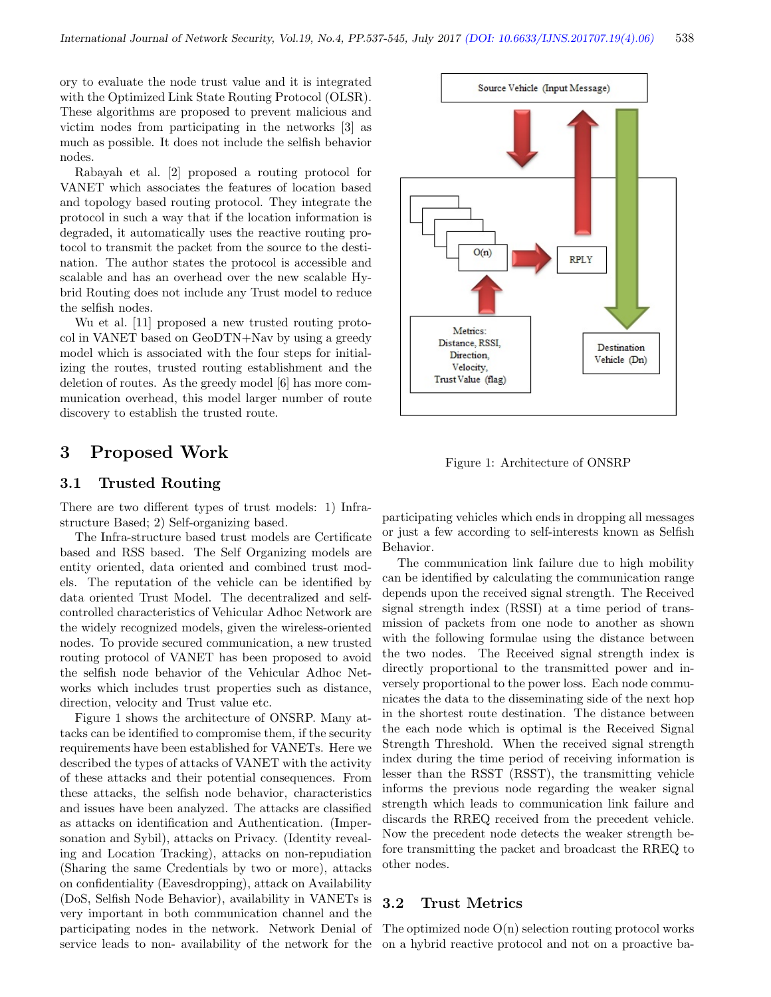ory to evaluate the node trust value and it is integrated with the Optimized Link State Routing Protocol (OLSR). These algorithms are proposed to prevent malicious and victim nodes from participating in the networks [3] as much as possible. It does not include the selfish behavior nodes.

Rabayah et al. [2] proposed a routing protocol for VANET which associates the features of location based and topology based routing protocol. They integrate the protocol in such a way that if the location information is degraded, it automatically uses the reactive routing protocol to transmit the packet from the source to the destination. The author states the protocol is accessible and scalable and has an overhead over the new scalable Hybrid Routing does not include any Trust model to reduce the selfish nodes.

Wu et al. [11] proposed a new trusted routing protocol in VANET based on GeoDTN+Nav by using a greedy model which is associated with the four steps for initializing the routes, trusted routing establishment and the deletion of routes. As the greedy model [6] has more communication overhead, this model larger number of route discovery to establish the trusted route.

# 3 Proposed Work

#### 3.1 Trusted Routing

There are two different types of trust models: 1) Infrastructure Based; 2) Self-organizing based.

The Infra-structure based trust models are Certificate based and RSS based. The Self Organizing models are entity oriented, data oriented and combined trust models. The reputation of the vehicle can be identified by data oriented Trust Model. The decentralized and selfcontrolled characteristics of Vehicular Adhoc Network are the widely recognized models, given the wireless-oriented nodes. To provide secured communication, a new trusted routing protocol of VANET has been proposed to avoid the selfish node behavior of the Vehicular Adhoc Networks which includes trust properties such as distance, direction, velocity and Trust value etc.

Figure 1 shows the architecture of ONSRP. Many attacks can be identified to compromise them, if the security requirements have been established for VANETs. Here we described the types of attacks of VANET with the activity of these attacks and their potential consequences. From these attacks, the selfish node behavior, characteristics and issues have been analyzed. The attacks are classified as attacks on identification and Authentication. (Impersonation and Sybil), attacks on Privacy. (Identity revealing and Location Tracking), attacks on non-repudiation (Sharing the same Credentials by two or more), attacks on confidentiality (Eavesdropping), attack on Availability (DoS, Selfish Node Behavior), availability in VANETs is very important in both communication channel and the participating nodes in the network. Network Denial of service leads to non- availability of the network for the



Figure 1: Architecture of ONSRP

participating vehicles which ends in dropping all messages or just a few according to self-interests known as Selfish Behavior.

The communication link failure due to high mobility can be identified by calculating the communication range depends upon the received signal strength. The Received signal strength index (RSSI) at a time period of transmission of packets from one node to another as shown with the following formulae using the distance between the two nodes. The Received signal strength index is directly proportional to the transmitted power and inversely proportional to the power loss. Each node communicates the data to the disseminating side of the next hop in the shortest route destination. The distance between the each node which is optimal is the Received Signal Strength Threshold. When the received signal strength index during the time period of receiving information is lesser than the RSST (RSST), the transmitting vehicle informs the previous node regarding the weaker signal strength which leads to communication link failure and discards the RREQ received from the precedent vehicle. Now the precedent node detects the weaker strength before transmitting the packet and broadcast the RREQ to other nodes.

#### 3.2 Trust Metrics

The optimized node  $O(n)$  selection routing protocol works on a hybrid reactive protocol and not on a proactive ba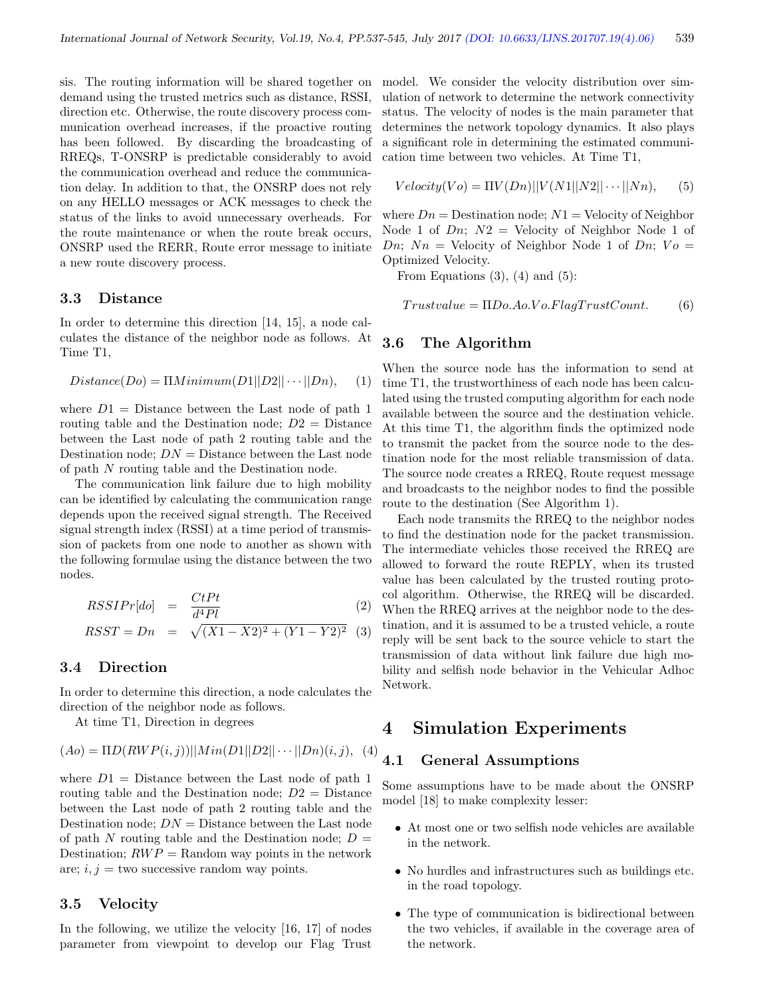sis. The routing information will be shared together on demand using the trusted metrics such as distance, RSSI, direction etc. Otherwise, the route discovery process communication overhead increases, if the proactive routing has been followed. By discarding the broadcasting of RREQs, T-ONSRP is predictable considerably to avoid the communication overhead and reduce the communication delay. In addition to that, the ONSRP does not rely on any HELLO messages or ACK messages to check the status of the links to avoid unnecessary overheads. For the route maintenance or when the route break occurs, ONSRP used the RERR, Route error message to initiate a new route discovery process.

#### 3.3 Distance

In order to determine this direction [14, 15], a node calculates the distance of the neighbor node as follows. At Time T1,

$$
Distance(Do) = \Pi Minimum(D1||D2|| \cdots ||Dn), \quad (1)
$$

where  $D1 =$  Distance between the Last node of path 1 routing table and the Destination node;  $D2 =$  Distance between the Last node of path 2 routing table and the Destination node;  $DN =$ Distance between the Last node of path N routing table and the Destination node.

The communication link failure due to high mobility can be identified by calculating the communication range depends upon the received signal strength. The Received signal strength index (RSSI) at a time period of transmission of packets from one node to another as shown with the following formulae using the distance between the two nodes.

$$
RSSIPr[do] = \frac{CtPt}{d^4Pl} \tag{2}
$$

$$
RSST = Dn = \sqrt{(X1 - X2)^2 + (Y1 - Y2)^2}
$$
 (3)

## 3.4 Direction

In order to determine this direction, a node calculates the direction of the neighbor node as follows.

At time T1, Direction in degrees

$$
(Ao) = \Pi D(RWP(i,j))||Min(D1||D2|| \cdots ||Dn)(i,j), (4)
$$

where  $D1 =$  Distance between the Last node of path 1 routing table and the Destination node;  $D2 =$  Distance between the Last node of path 2 routing table and the Destination node;  $DN =$ Distance between the Last node of path N routing table and the Destination node;  $D =$ Destination;  $RWP =$  Random way points in the network are;  $i, j$  = two successive random way points.

#### 3.5 Velocity

In the following, we utilize the velocity [16, 17] of nodes parameter from viewpoint to develop our Flag Trust

model. We consider the velocity distribution over simulation of network to determine the network connectivity status. The velocity of nodes is the main parameter that determines the network topology dynamics. It also plays a significant role in determining the estimated communication time between two vehicles. At Time T1,

$$
Velocity(Vo) = \Pi V(Dn)||V(N1||N2||\cdots||Nn), \quad (5)
$$

where  $Dn =$  Destination node;  $N1 =$  Velocity of Neighbor Node 1 of  $Dn$ ;  $N2 =$  Velocity of Neighbor Node 1 of Dn;  $N_n =$  Velocity of Neighbor Node 1 of Dn;  $V_o =$ Optimized Velocity.

From Equations  $(3)$ ,  $(4)$  and  $(5)$ :

$$
Trustvalue = \Pi Do. Ao. Vo. FlagTrustCount.
$$
 (6)

## 3.6 The Algorithm

When the source node has the information to send at time T1, the trustworthiness of each node has been calculated using the trusted computing algorithm for each node available between the source and the destination vehicle. At this time T1, the algorithm finds the optimized node to transmit the packet from the source node to the destination node for the most reliable transmission of data. The source node creates a RREQ, Route request message and broadcasts to the neighbor nodes to find the possible route to the destination (See Algorithm 1).

Each node transmits the RREQ to the neighbor nodes to find the destination node for the packet transmission. The intermediate vehicles those received the RREQ are allowed to forward the route REPLY, when its trusted value has been calculated by the trusted routing protocol algorithm. Otherwise, the RREQ will be discarded. When the RREQ arrives at the neighbor node to the destination, and it is assumed to be a trusted vehicle, a route reply will be sent back to the source vehicle to start the transmission of data without link failure due high mobility and selfish node behavior in the Vehicular Adhoc Network.

# 4 Simulation Experiments

## 4.1 General Assumptions

Some assumptions have to be made about the ONSRP model [18] to make complexity lesser:

- At most one or two selfish node vehicles are available in the network.
- No hurdles and infrastructures such as buildings etc. in the road topology.
- The type of communication is bidirectional between the two vehicles, if available in the coverage area of the network.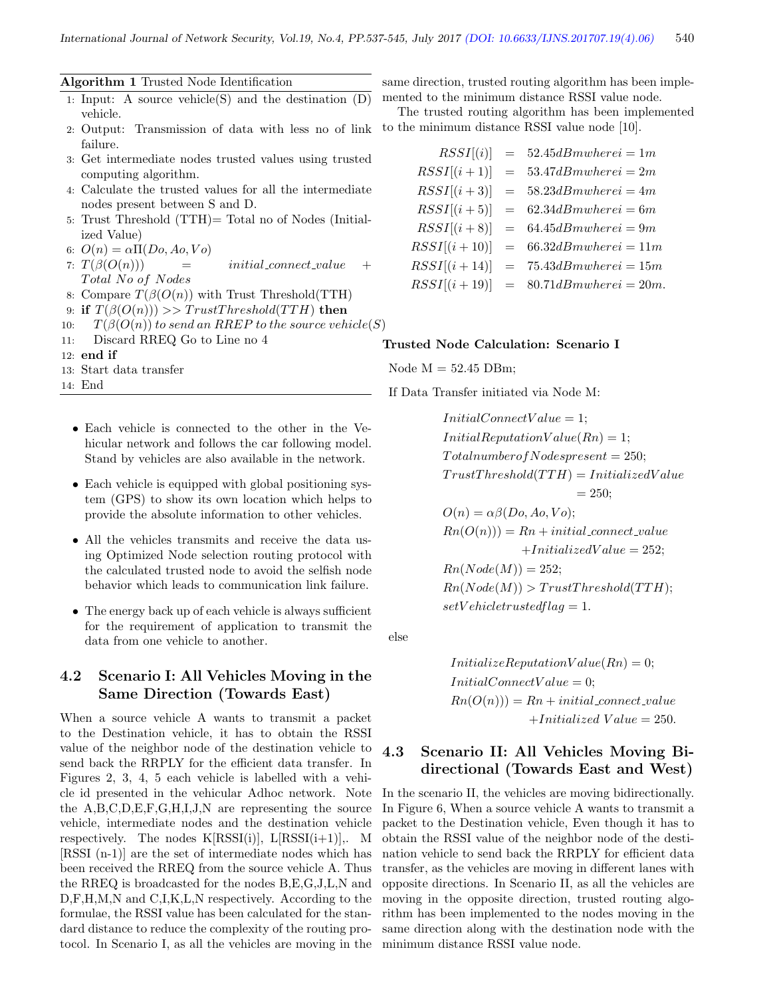Algorithm 1 Trusted Node Identification

- 1: Input: A source vehicle(S) and the destination (D) vehicle.
- 2: Output: Transmission of data with less no of link failure.
- 3: Get intermediate nodes trusted values using trusted computing algorithm.
- 4: Calculate the trusted values for all the intermediate nodes present between S and D.
- 5: Trust Threshold (TTH)= Total no of Nodes (Initialized Value)
- 6:  $O(n) = \alpha \Pi(Do, Ao, Vo)$
- 7:  $T(\beta(O(n)))$  = initial\_connect\_value + Total No of Nodes
- 8: Compare  $T(\beta(O(n))$  with Trust Threshold(TTH)
- 9: if  $T(\beta(O(n))) \gg TrustThreshold(TTH)$  then
- 10:  $T(\beta(O(n))$  to send an RREP to the source vehicle(S)
- 11: Discard RREQ Go to Line no 4
- 12: end if
- 13: Start data transfer
- 14: End
	- Each vehicle is connected to the other in the Vehicular network and follows the car following model. Stand by vehicles are also available in the network.
	- Each vehicle is equipped with global positioning system (GPS) to show its own location which helps to provide the absolute information to other vehicles.
	- All the vehicles transmits and receive the data using Optimized Node selection routing protocol with the calculated trusted node to avoid the selfish node behavior which leads to communication link failure.
	- The energy back up of each vehicle is always sufficient for the requirement of application to transmit the data from one vehicle to another.

## 4.2 Scenario I: All Vehicles Moving in the Same Direction (Towards East)

When a source vehicle A wants to transmit a packet to the Destination vehicle, it has to obtain the RSSI value of the neighbor node of the destination vehicle to send back the RRPLY for the efficient data transfer. In Figures 2, 3, 4, 5 each vehicle is labelled with a vehicle id presented in the vehicular Adhoc network. Note the A,B,C,D,E,F,G,H,I,J,N are representing the source vehicle, intermediate nodes and the destination vehicle respectively. The nodes  $K[RSSI(i)], L[RSSI(i+1)], M$ [RSSI (n-1)] are the set of intermediate nodes which has been received the RREQ from the source vehicle A. Thus the RREQ is broadcasted for the nodes B,E,G,J,L,N and D,F,H,M,N and C,I,K,L,N respectively. According to the formulae, the RSSI value has been calculated for the standard distance to reduce the complexity of the routing protocol. In Scenario I, as all the vehicles are moving in the

same direction, trusted routing algorithm has been implemented to the minimum distance RSSI value node.

The trusted routing algorithm has been implemented to the minimum distance RSSI value node [10].

 $RSSI[(i)] = 52.45dBmwhere i = 1m$  $RSSI[(i+1)] = 53.47dBmwhere i = 2m$  $RSSI[(i+3)] = 58.23dBmwhere i = 4m$  $RSSI[(i+5)] = 62.34dBmwhere i = 6m$  $RSSI[(i+8)] = 64.45dBmwhere i = 9m$  $RSSI[(i+10)] = 66.32dBmwhere i = 11m$  $RSSI[(i+14)] = 75.43dBmwhere i = 15m$  $RSSI[(i+19)] = 80.71dBmwhere i = 20m$ .

#### Trusted Node Calculation: Scenario I

Node  $M = 52.45$  DBm;

If Data Transfer initiated via Node M:

 $InitialConnectValue = 1;$  $InitialReputationValue(Rn) = 1;$  $Total number of Nodes present = 250;$  $TrustThreshold(TTH) = InitializedValue$  $= 250$ :  $O(n) = \alpha \beta (Do, Ao, Vo);$  $Rn(O(n))) = Rn + initial\_connect\_value$  $+InitializedValue = 252;$  $R_n(Node(M)) = 252$ 

$$
Rn(Node(M)) = 252,
$$
  
\n
$$
Rn(Node(M)) > TrustThreshold(TTH);
$$
  
\n
$$
setVehicletrustedflag = 1.
$$

else

 $Initialize ReputationValue(Rn) = 0;$  $InitialConnectValue = 0;$  $Rn(O(n))) = Rn + initial\_connect\_value$  $+Initialized$  V alue  $= 250$ .

# 4.3 Scenario II: All Vehicles Moving Bidirectional (Towards East and West)

In the scenario II, the vehicles are moving bidirectionally. In Figure 6, When a source vehicle A wants to transmit a packet to the Destination vehicle, Even though it has to obtain the RSSI value of the neighbor node of the destination vehicle to send back the RRPLY for efficient data transfer, as the vehicles are moving in different lanes with opposite directions. In Scenario II, as all the vehicles are moving in the opposite direction, trusted routing algorithm has been implemented to the nodes moving in the same direction along with the destination node with the minimum distance RSSI value node.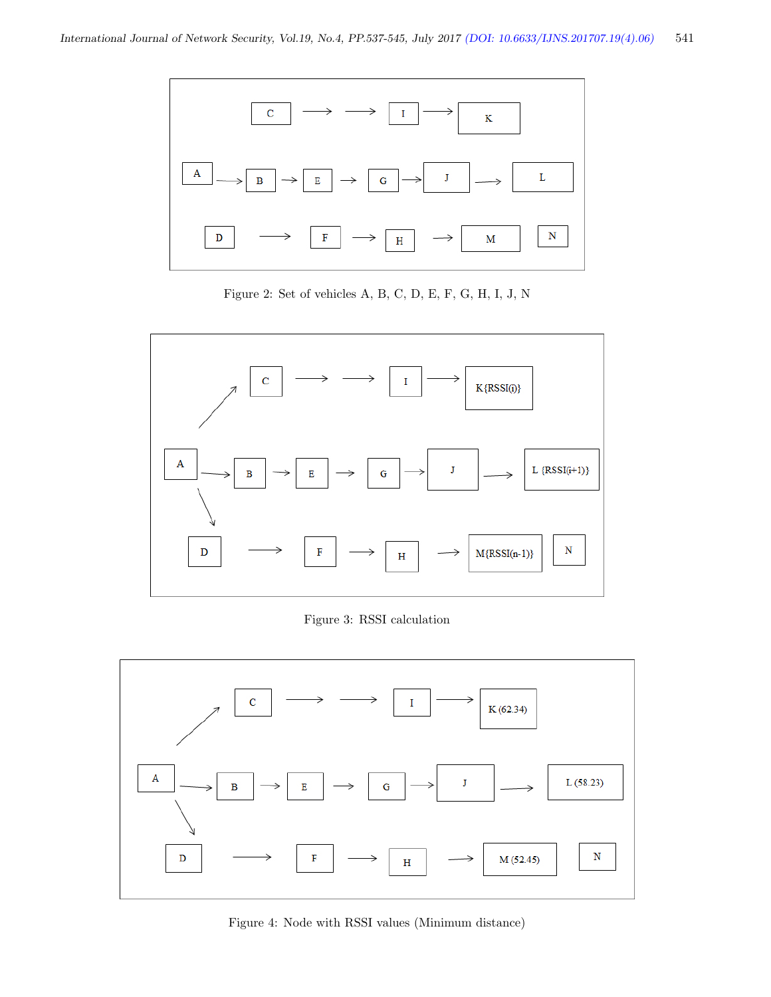

Figure 2: Set of vehicles A, B, C, D, E, F, G, H, I, J, N



Figure 3: RSSI calculation



Figure 4: Node with RSSI values (Minimum distance)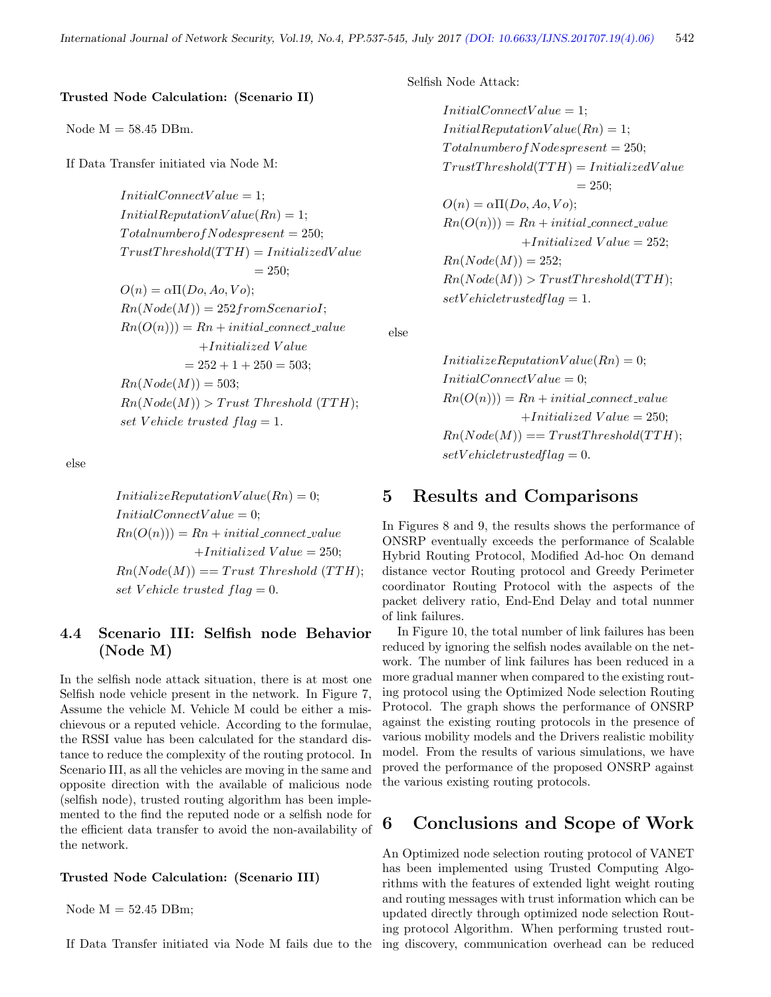#### Trusted Node Calculation: (Scenario II)

#### Node  $M = 58.45$  DBm.

If Data Transfer initiated via Node M:

 $InitialConnectValue = 1;$  $InitialReputationValue(Rn) = 1;$  $Total number of Nodes present = 250;$  $TrustThreshold(TTH) = InitializedValue$  $= 250$ ;  $O(n) = \alpha \Pi(Do, Ao, Vo);$  $Rn(Node(M)) = 252 from Scenario I;$  $Rn(O(n))) = Rn + initial\_connect\_value$  $+Initialized$  Value  $= 252 + 1 + 250 = 503$ ;  $Rn(Node(M)) = 503;$  $Rn(Node(M))$  > Trust Threshold (TTH); set V ehicle trusted  $flag = 1$ .

else

 $InitializeReputationValue(Rn) = 0;$  $InitialConnectValue = 0;$  $Rn(O(n))) = Rn + initial\_connect\_value$  $+Initialized$   $Value = 250;$  $Rn(Node(M)) == Trust Threshold (TTH);$ set V ehicle trusted  $flag = 0$ .

# 4.4 Scenario III: Selfish node Behavior (Node M)

In the selfish node attack situation, there is at most one Selfish node vehicle present in the network. In Figure 7, Assume the vehicle M. Vehicle M could be either a mischievous or a reputed vehicle. According to the formulae, the RSSI value has been calculated for the standard distance to reduce the complexity of the routing protocol. In Scenario III, as all the vehicles are moving in the same and opposite direction with the available of malicious node (selfish node), trusted routing algorithm has been implemented to the find the reputed node or a selfish node for the efficient data transfer to avoid the non-availability of the network.

#### Trusted Node Calculation: (Scenario III)

Node  $M = 52.45$  DBm;

If Data Transfer initiated via Node M fails due to the ing discovery, communication overhead can be reduced

Selfish Node Attack:

 $InitialConnectValue = 1;$  $InitialReputationValue(Rn) = 1;$  $Total number of Nodes present = 250;$  $TrustThreshold(TTH) = InitializedValue$  $= 250;$  $O(n) = \alpha \Pi(Do, Ao, Vo);$  $Rn(O(n))) = Rn + initial\_connect\_value$  $+Initialized$   $Value = 252;$  $Rn(Node(M)) = 252;$  $Rn(Node(M)) > TrustThreshold(TTH);$  $setVehicle trustedflag = 1.$ 

else

 $Initialize ReputationValue(Rn) = 0;$  $InitialConnectValue = 0;$  $Rn(O(n))) = Rn + initial\_connect\_value$  $+Initialized$   $Value = 250;$  $Rn(Node(M)) == TrustThreshold(TTH);$  $setVehicle trustedflag = 0.$ 

# 5 Results and Comparisons

In Figures 8 and 9, the results shows the performance of ONSRP eventually exceeds the performance of Scalable Hybrid Routing Protocol, Modified Ad-hoc On demand distance vector Routing protocol and Greedy Perimeter coordinator Routing Protocol with the aspects of the packet delivery ratio, End-End Delay and total nunmer of link failures.

In Figure 10, the total number of link failures has been reduced by ignoring the selfish nodes available on the network. The number of link failures has been reduced in a more gradual manner when compared to the existing routing protocol using the Optimized Node selection Routing Protocol. The graph shows the performance of ONSRP against the existing routing protocols in the presence of various mobility models and the Drivers realistic mobility model. From the results of various simulations, we have proved the performance of the proposed ONSRP against the various existing routing protocols.

# 6 Conclusions and Scope of Work

An Optimized node selection routing protocol of VANET has been implemented using Trusted Computing Algorithms with the features of extended light weight routing and routing messages with trust information which can be updated directly through optimized node selection Routing protocol Algorithm. When performing trusted rout-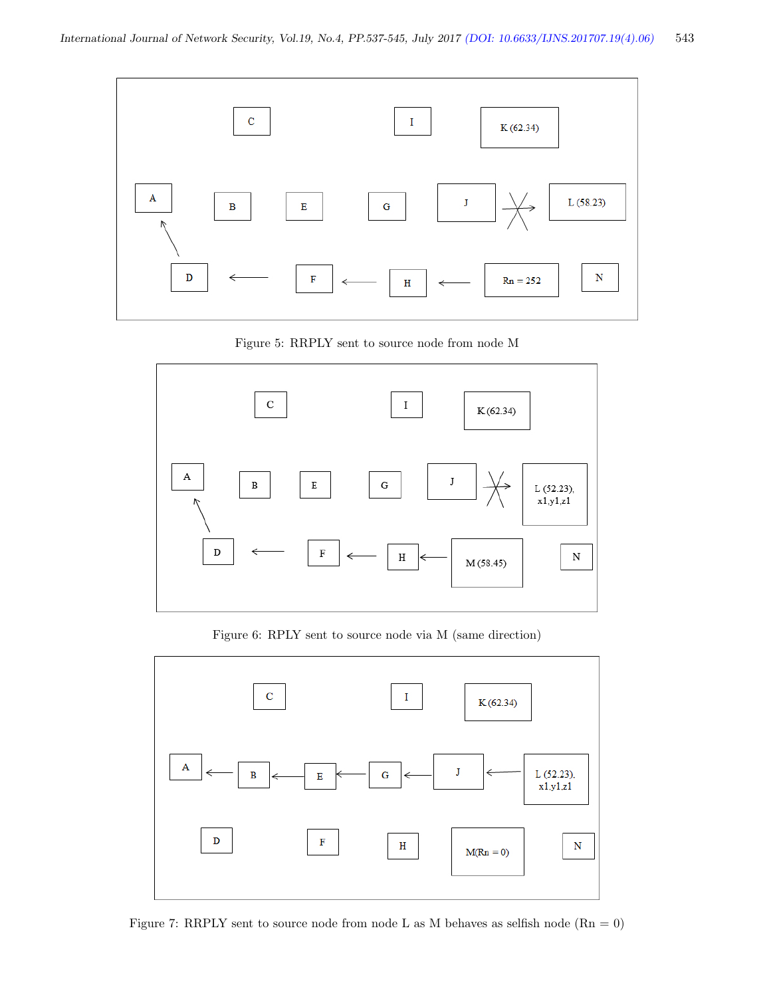

Figure 5: RRPLY sent to source node from node M



Figure 6: RPLY sent to source node via M (same direction)



Figure 7: RRPLY sent to source node from node L as M behaves as selfish node  $(Rn = 0)$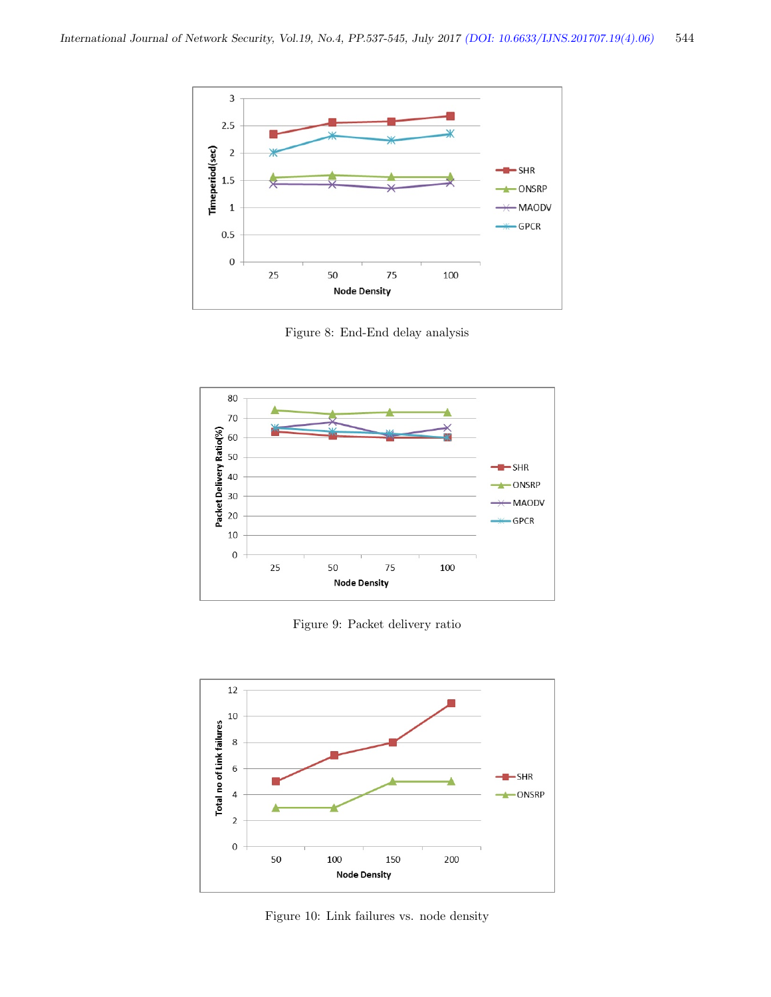

Figure 8: End-End delay analysis



Figure 9: Packet delivery ratio



Figure 10: Link failures vs. node density